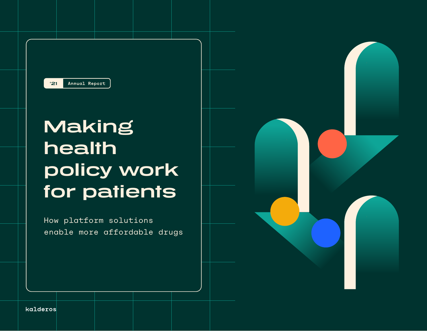

# **Making health policy work for patients**

How platform solutions enable more affordable drugs



kalderos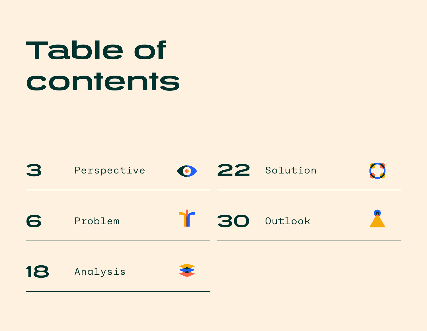# **Table of contents**

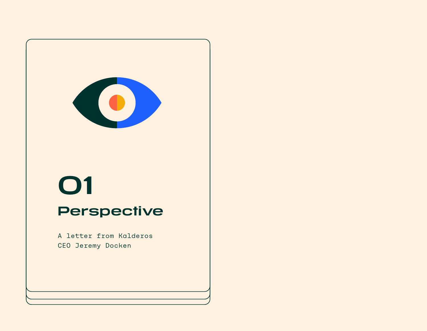<span id="page-2-0"></span>

# **01**

# **Perspective**

A letter from Kalderos CEO Jeremy Docken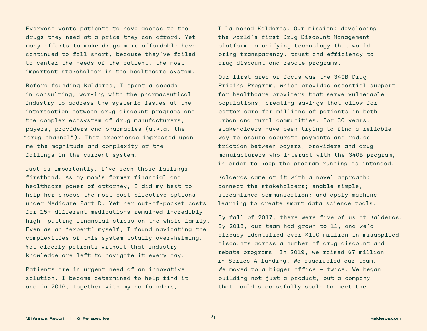Everyone wants patients to have access to the drugs they need at a price they can afford. Yet many efforts to make drugs more affordable have continued to fall short, because they've failed to center the needs of the patient, the most important stakeholder in the healthcare system.

Before founding Kalderos, I spent a decade in consulting, working with the pharmaceutical industry to address the systemic issues at the intersection between drug discount programs and the complex ecosystem of drug manufacturers, payers, providers and pharmacies (a.k.a. the "drug channel"). That experience impressed upon me the magnitude and complexity of the failings in the current system.

Just as importantly, I've seen those failings firsthand. As my mom's former financial and healthcare power of attorney, I did my best to help her choose the most cost-effective options under Medicare Part D. Yet her out-of-pocket costs for 15+ different medications remained incredibly high, putting financial stress on the whole family. Even as an "expert" myself, I found navigating the complexities of this system totally overwhelming. Yet elderly patients without that industry knowledge are left to navigate it every day.

Patients are in urgent need of an innovative solution. I became determined to help find it, and in 2016, together with my co-founders,

I launched Kalderos. Our mission: developing the world's first Drug Discount Management platform, a unifying technology that would bring transparency, trust and efficiency to drug discount and rebate programs.

Our first area of focus was the 340B Drug Pricing Program, which provides essential support for healthcare providers that serve vulnerable populations, creating savings that allow for better care for millions of patients in both urban and rural communities. For 30 years, stakeholders have been trying to find a reliable way to ensure accurate payments and reduce friction between payers, providers and drug manufacturers who interact with the 340B program, in order to keep the program running as intended.

Kalderos came at it with a novel approach: connect the stakeholders; enable simple, streamlined communication; and apply machine learning to create smart data science tools.

By fall of 2017, there were five of us at Kalderos. By 2018, our team had grown to 11, and we'd already identified over \$100 million in misapplied discounts across a number of drug discount and rebate programs. In 2019, we raised \$7 million in Series A funding. We quadrupled our team. We moved to a bigger office — twice. We began building not just a product, but a company that could successfully scale to meet the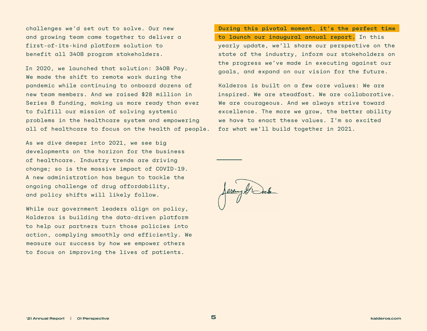challenges we'd set out to solve. Our new and growing team came together to deliver a first-of-its-kind platform solution to benefit all 340B program stakeholders.

In 2020, we launched that solution: 340B Pay. We made the shift to remote work during the pandemic while continuing to onboard dozens of new team members. And we raised \$28 million in Series B funding, making us more ready than ever to fulfill our mission of solving systemic problems in the healthcare system and empowering all of healthcare to focus on the health of people.

As we dive deeper into 2021, we see big developments on the horizon for the business of healthcare. Industry trends are driving change; so is the massive impact of COVID-19. A new administration has begun to tackle the ongoing challenge of drug affordability, and policy shifts will likely follow.

While our government leaders align on policy, Kalderos is building the data-driven platform to help our partners turn those policies into action, complying smoothly and efficiently. We measure our success by how we empower others to focus on improving the lives of patients.

During this pivotal moment, it's the perfect time to launch our inaugural annual report. In this yearly update, we'll share our perspective on the state of the industry, inform our stakeholders on the progress we've made in executing against our goals, and expand on our vision for the future.

Kalderos is built on a few core values: We are inspired. We are steadfast. We are collaborative. We are courageous. And we always strive toward excellence. The more we grow, the better ability we have to enact these values. I'm so excited for what we'll build together in 2021.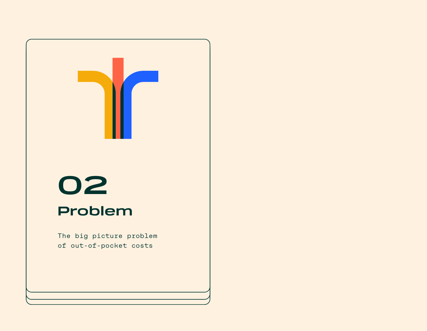<span id="page-5-0"></span>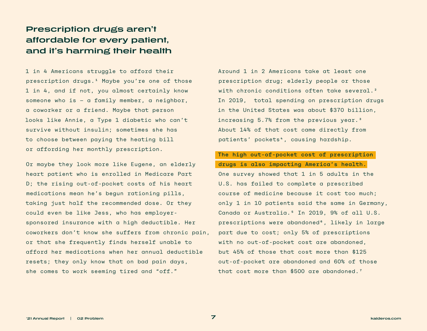## **Prescription drugs aren't affordable for every patient, and it's harming their health**

1 in 4 Americans struggle to afford their prescription drugs.<sup>1</sup> Maybe you're one of those 1 in 4, and if not, you almost certainly know someone who is — a family member, a neighbor, a coworker or a friend. Maybe that person looks like Annie, a Type 1 diabetic who can't survive without insulin; sometimes she has to choose between paying the heating bill or affording her monthly prescription.

Or maybe they look more like Eugene, an elderly heart patient who is enrolled in Medicare Part D; the rising out-of-pocket costs of his heart medications mean he's begun rationing pills, taking just half the recommended dose. Or they could even be like Jess, who has employersponsored insurance with a high deductible. Her coworkers don't know she suffers from chronic pain, or that she frequently finds herself unable to afford her medications when her annual deductible resets; they only know that on bad pain days, she comes to work seeming tired and "off."

Around 1 in 2 Americans take at least one prescription drug; elderly people or those with chronic conditions often take several.<sup>2</sup> In 2019, total spending on prescription drugs in the United States was about \$370 billion, increasing 5.7% from the previous year.3 About 14% of that cost came directly from patients' pockets<sup>4</sup>, causing hardship.

#### The high out-of-pocket cost of prescription drugs is also impacting America's health.

One survey showed that 1 in 5 adults in the U.S. has failed to complete a prescribed course of medicine because it cost too much; only 1 in 10 patients said the same in Germany, Canada or Australia.<sup>5</sup> In 2019, 9% of all U.S. prescriptions were abandoned⁶, likely in large part due to cost; only 5% of prescriptions with no out-of-pocket cost are abandoned, but 45% of those that cost more than \$125 out-of-pocket are abandoned and 60% of those that cost more than \$500 are abandoned.7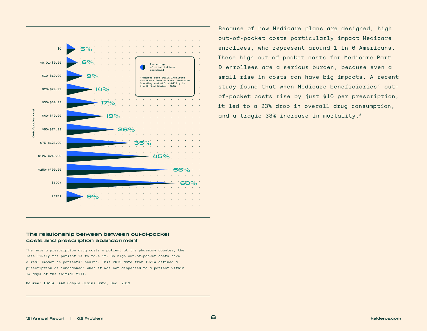

#### **The relationship between between out-of-pocket costs and prescription abandonment**

The more a prescription drug costs a patient at the pharmacy counter, the less likely the patient is to take it. So high out-of-pocket costs have a real impact on patients' health. This 2019 data from IQVIA defined a prescription as "abandoned" when it was not dispensed to a patient within 14 days of the initial fill.

**Source:** IQVIA LAAD Sample Claims Data, Dec. 2019

Because of how Medicare plans are designed, high out-of-pocket costs particularly impact Medicare enrollees, who represent around 1 in 6 Americans. These high out-of-pocket costs for Medicare Part D enrollees are a serious burden, because even a small rise in costs can have big impacts. A recent study found that when Medicare beneficiaries' outof-pocket costs rise by just \$10 per prescription, it led to a 23% drop in overall drug consumption, and a tragic 33% increase in mortality.8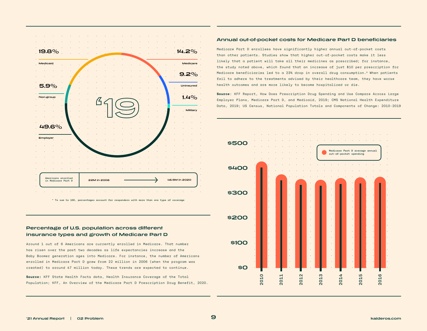

\* To sum to 100, percentages account for responders with more than one type of coverage

#### **Percentage of U.S. population across different insurance types and growth of Medicare Part D**

Around 1 out of 6 Americans are currently enrolled in Medicare. That number has risen over the past two decades as life expectancies increase and the Baby Boomer generation ages into Medicare. For instance, the number of Americans enrolled in Medicare Part D grew from 22 million in 2006 (when the program was created) to around 47 million today. These trends are expected to continue.

**Source:** KFF State Health Facts data, Health Insurance Coverage of the Total Population; KFF, An Overview of the Medicare Part D Prescription Drug Benefit, 2020.

#### **Annual out-of-pocket costs for Medicare Part D beneficiaries**

Medicare Part D enrollees have significantly higher annual out-of-pocket costs than other patients. Studies show that higher out-of-pocket costs make it less likely that a patient will take all their medicines as prescribed; for instance, the study noted above, which found that an increase of just \$10 per prescription for Medicare beneficiaries led to a 23% drop in overall drug consumption.9 When patients fail to adhere to the treatments advised by their healthcare team, they have worse health outcomes and are more likely to become hospitalized or die.

**Source**: KFF Report, How Does Prescription Drug Spending and Use Compare Across Large Employer Plans, Medicare Part D, and Medicaid, 2019; CMS National Health Expenditure Data, 2019; US Census, National Population Totals and Components of Change: 2010-2019

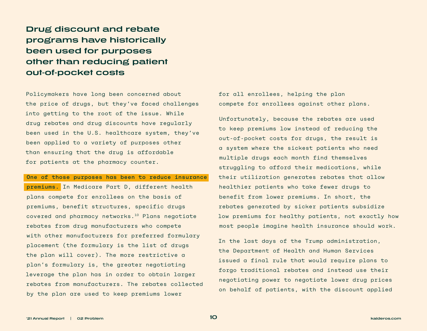**Drug discount and rebate programs have historically been used for purposes other than reducing patient out-of-pocket costs** 

Policymakers have long been concerned about the price of drugs, but they've faced challenges into getting to the root of the issue. While drug rebates and drug discounts have regularly been used in the U.S. healthcare system, they've been applied to a variety of purposes other than ensuring that the drug is affordable for patients at the pharmacy counter.

One of those purposes has been to reduce insurance

premiums. In Medicare Part D, different health plans compete for enrollees on the basis of premiums, benefit structures, specific drugs covered and pharmacy networks.10 Plans negotiate rebates from drug manufacturers who compete with other manufacturers for preferred formulary placement (the formulary is the list of drugs the plan will cover). The more restrictive a plan's formulary is, the greater negotiating leverage the plan has in order to obtain larger rebates from manufacturers. The rebates collected by the plan are used to keep premiums lower

for all enrollees, helping the plan compete for enrollees against other plans.

Unfortunately, because the rebates are used to keep premiums low instead of reducing the out-of-pocket costs for drugs, the result is a system where the sickest patients who need multiple drugs each month find themselves struggling to afford their medications, while their utilization generates rebates that allow healthier patients who take fewer drugs to benefit from lower premiums. In short, the rebates generated by sicker patients subsidize low premiums for healthy patients, not exactly how most people imagine health insurance should work.

In the last days of the Trump administration, the Department of Health and Human Services issued a final rule that would require plans to forgo traditional rebates and instead use their negotiating power to negotiate lower drug prices on behalf of patients, with the discount applied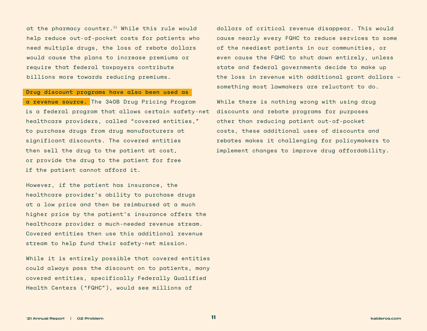at the pharmacy counter.<sup>11</sup> While this rule would help reduce out-of-pocket costs for patients who need multiple drugs, the loss of rebate dollars would cause the plans to increase premiums or require that federal taxpayers contribute billions more towards reducing premiums.

Drug discount programs have also been used as

a revenue source. The 340B Drug Pricing Program is a federal program that allows certain safety-net healthcare providers, called "covered entities," to purchase drugs from drug manufacturers at significant discounts. The covered entities then sell the drug to the patient at cost, or provide the drug to the patient for free if the patient cannot afford it.

However, if the patient has insurance, the healthcare provider's ability to purchase drugs at a low price and then be reimbursed at a much higher price by the patient's insurance offers the healthcare provider a much-needed revenue stream. Covered entities then use this additional revenue stream to help fund their safety-net mission.

While it is entirely possible that covered entities could always pass the discount on to patients, many covered entities, specifically Federally Qualified Health Centers ("FQHC"), would see millions of

dollars of critical revenue disappear. This would cause nearly every FQHC to reduce services to some of the neediest patients in our communities, or even cause the FQHC to shut down entirely, unless state and federal governments decide to make up the loss in revenue with additional grant dollars something most lawmakers are reluctant to do.

While there is nothing wrong with using drug discounts and rebate programs for purposes other than reducing patient out-of-pocket costs, these additional uses of discounts and rebates makes it challenging for policymakers to implement changes to improve drug affordability.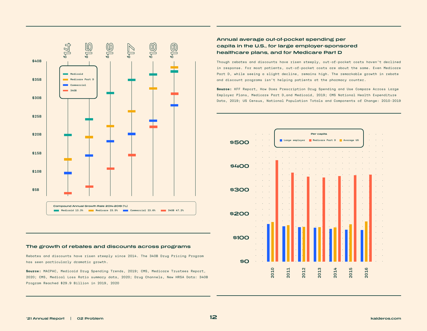

#### **The growth of rebates and discounts across programs**

Rebates and discounts have risen steeply since 2014. The 340B Drug Pricing Program has seen particularly dramatic growth.

**Source:** MACPAC, Medicaid Drug Spending Trends, 2019; CMS, Medicare Trustees Report, 2020; CMS, Medical Loss Ratio summary data, 2020; Drug Channels, New HRSA Data: 340B Program Reached \$29.9 Billion in 2019, 2020

#### **Annual average out-of-pocket spending per capita in the U.S., for large employer-sponsored healthcare plans, and for Medicare Part D**

Though rebates and discounts have risen steeply, out-of-pocket costs haven't declined in response. For most patients, out-of-pocket costs are about the same. Even Medicare Part D, while seeing a slight decline, remains high. The remarkable growth in rebate and discount programs isn't helping patients at the pharmacy counter.

**Source:** KFF Report, How Does Prescription Drug Spending and Use Compare Across Large Employer Plans, Medicare Part D,and Medicaid, 2019; CMS National Health Expenditure Data, 2019; US Census, National Population Totals and Components of Change: 2010-2019

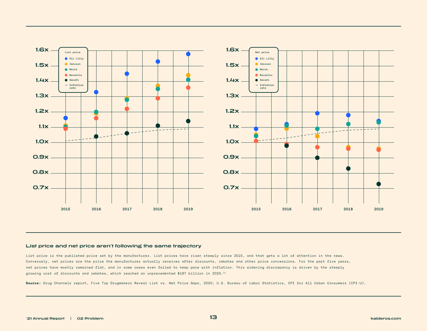

#### **List price and net price aren't following the same trajectory**

List price is the published price set by the manufacturer. List prices have risen steeply since 2015, and that gets a lot of attention in the news. Conversely, net prices are the price the manufacturer actually receives after discounts, rebates and other price concessions. For the past five years, net prices have mostly remained flat, and in some cases even failed to keep pace with inflation. This widening discrepancy is driven by the steeply growing cost of discounts and rebates, which reached an unprecedented \$187 billion in 2020.12

**Source:** Drug Channels report, Five Top Drugmakers Reveal List vs. Net Price Gaps, 2020; U.S. Bureau of Labor Statistics, CPI for All Urban Consumers (CPI-U).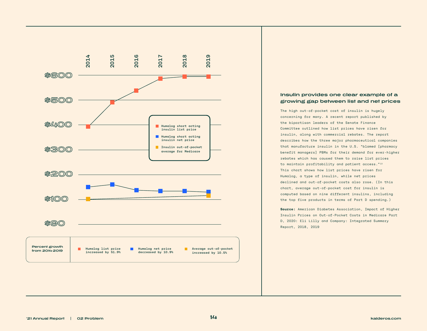

#### **Insulin provides one clear example of a growing gap between list and net prices**

The high out-of-pocket cost of insulin is hugely concerning for many. A recent report published by the bipartisan leaders of the Senate Finance Committee outlined how list prices have risen for insulin, along with commercial rebates. The report describes how the three major pharmaceutical companies that manufacture insulin in the U.S. "blamed [pharmacy benefit managers] PBMs for their demand for ever-higher rebates which has caused them to raise list prices to maintain profitability and patient access."<sup>13</sup> This chart shows how list prices have risen for Humalog, a type of insulin, while net prices declined and out-of-pocket costs also rose. (In this chart, average out-of-pocket cost for insulin is computed based on nine different insulins, including the top five products in terms of Part D spending.)

**Source:** American Diabetes Association, Impact of Higher Insulin Prices on Out-of-Pocket Costs in Medicare Part D, 2020: Eli Lilly and Company: Integrated Summary Report, 2018, 2019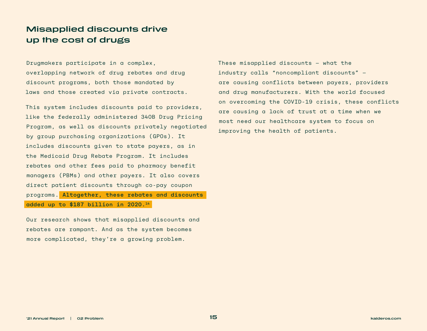## **Misapplied discounts drive up the cost of drugs**

Drugmakers participate in a complex, overlapping network of drug rebates and drug discount programs, both those mandated by laws and those created via private contracts.

This system includes discounts paid to providers, like the federally administered 340B Drug Pricing Program, as well as discounts privately negotiated by group purchasing organizations (GPOs). It includes discounts given to state payers, as in the Medicaid Drug Rebate Program. It includes rebates and other fees paid to pharmacy benefit managers (PBMs) and other payers. It also covers direct patient discounts through co-pay coupon programs. Altogether, these rebates and discounts added up to \$187 billion in 2020.14

Our research shows that misapplied discounts and rebates are rampant. And as the system becomes more complicated, they're a growing problem.

These misapplied discounts — what the industry calls "noncompliant discounts" are causing conflicts between payers, providers and drug manufacturers. With the world focused on overcoming the COVID-19 crisis, these conflicts are causing a lack of trust at a time when we most need our healthcare system to focus on improving the health of patients.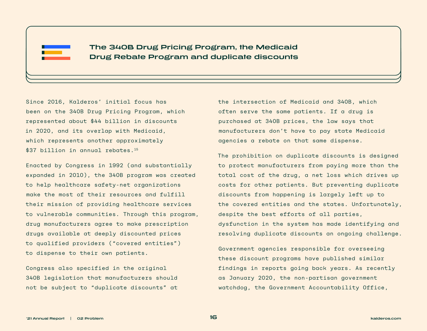

**The 340B Drug Pricing Program, the Medicaid Drug Rebate Program and duplicate discounts**

Since 2016, Kalderos' initial focus has been on the 340B Drug Pricing Program, which represented about \$44 billion in discounts in 2020, and its overlap with Medicaid, which represents another approximately \$37 billion in annual rebates.<sup>15</sup>

Enacted by Congress in 1992 (and substantially expanded in 2010), the 340B program was created to help healthcare safety-net organizations make the most of their resources and fulfill their mission of providing healthcare services to vulnerable communities. Through this program, drug manufacturers agree to make prescription drugs available at deeply discounted prices to qualified providers ("covered entities") to dispense to their own patients.

Congress also specified in the original 340B legislation that manufacturers should not be subject to "duplicate discounts" at

the intersection of Medicaid and 340B, which often serve the same patients. If a drug is purchased at 340B prices, the law says that manufacturers don't have to pay state Medicaid agencies a rebate on that same dispense.

The prohibition on duplicate discounts is designed to protect manufacturers from paying more than the total cost of the drug, a net loss which drives up costs for other patients. But preventing duplicate discounts from happening is largely left up to the covered entities and the states. Unfortunately, despite the best efforts of all parties, dysfunction in the system has made identifying and resolving duplicate discounts an ongoing challenge.

Government agencies responsible for overseeing these discount programs have published similar findings in reports going back years. As recently as January 2020, the non-partisan government watchdog, the Government Accountability Office,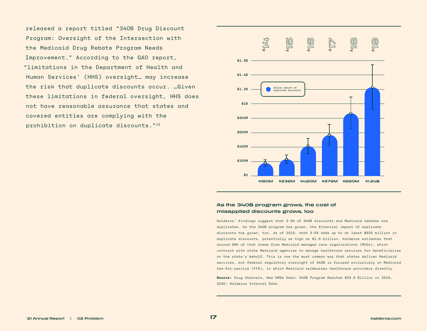released a report titled "340B Drug Discount Program: Oversight of the Intersection with the Medicaid Drug Rebate Program Needs Improvement." According to the GAO report, "limitations in the Department of Health and Human Services' (HHS) oversight… may increase the risk that duplicate discounts occur. …Given these limitations in federal oversight, HHS does not have reasonable assurance that states and covered entities are complying with the prohibition on duplicate discounts."16



#### **As the 340B program grows, the cost of misapplied discounts grows, too**

Kalderos' findings suggest that 3-5% of 340B discounts and Medicaid rebates are duplicates. As the 340B program has grown, the financial impact of duplicate discounts has grown, too. As of 2019, that 3-5% adds up to at least \$933 million in duplicate discounts, potentially as high as \$1.6 billion. Kalderos estimates that around 68% of that stems from Medicaid managed care organizations (MCOs), which contract with state Medicaid agencies to manage healthcare services for beneficiaries on the state's behalf. This is now the most common way that states deliver Medicaid services, but federal regulatory oversight of 340B is focused exclusively on Medicaid fee-for-service (FFS), in which Medicaid reimburses healthcare providers directly.

**Source:** Drug Channels, New HRSA Data: 340B Program Reached \$29.9 Billion in 2019, 2020; Kalderos Internal Data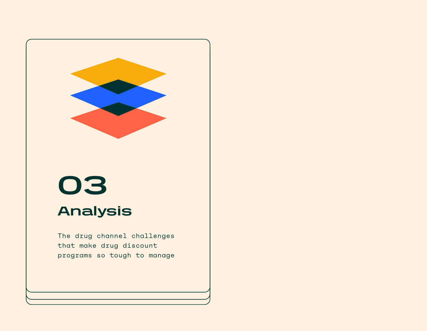<span id="page-17-0"></span>

# **03**

# **Analysis**

The drug channel challenges that make drug discount programs so tough to manage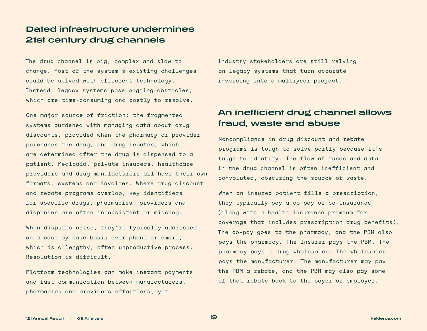### **Dated infrastructure undermines 21st century drug channels**

The drug channel is big, complex and slow to change. Most of the system's existing challenges could be solved with efficient technology. Instead, legacy systems pose ongoing obstacles, which are time-consuming and costly to resolve.

One major source of friction: the fragmented systems burdened with managing data about drug discounts, provided when the pharmacy or provider purchases the drug, and drug rebates, which are determined after the drug is dispensed to a patient. Medicaid, private insurers, healthcare providers and drug manufacturers all have their own formats, systems and invoices. Where drug discount and rebate programs overlap, key identifiers for specific drugs, pharmacies, providers and dispenses are often inconsistent or missing.

When disputes arise, they're typically addressed on a case-by-case basis over phone or email, which is a lengthy, often unproductive process. Resolution is difficult.

Platform technologies can make instant payments and fast communication between manufacturers, pharmacies and providers effortless, yet

industry stakeholders are still relying on legacy systems that turn accurate invoicing into a multiyear project.

## **An inefficient drug channel allows fraud, waste and abuse**

Noncompliance in drug discount and rebate programs is tough to solve partly because it's tough to identify. The flow of funds and data in the drug channel is often inefficient and convoluted, obscuring the source of waste.

When an insured patient fills a prescription, they typically pay a co-pay or co-insurance (along with a health insurance premium for coverage that includes prescription drug benefits). The co-pay goes to the pharmacy, and the PBM also pays the pharmacy. The insurer pays the PBM. The pharmacy pays a drug wholesaler. The wholesaler pays the manufacturer. The manufacturer may pay the PBM a rebate, and the PBM may also pay some of that rebate back to the payer or employer.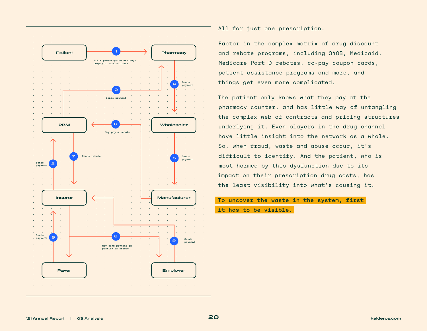

All for just one prescription.

Factor in the complex matrix of drug discount and rebate programs, including 340B, Medicaid, Medicare Part D rebates, co-pay coupon cards, patient assistance programs and more, and things get even more complicated.

The patient only knows what they pay at the pharmacy counter, and has little way of untangling the complex web of contracts and pricing structures underlying it. Even players in the drug channel have little insight into the network as a whole. So, when fraud, waste and abuse occur, it's difficult to identify. And the patient, who is most harmed by this dysfunction due to its impact on their prescription drug costs, has the least visibility into what's causing it.

To uncover the waste in the system, first

it has to be visible.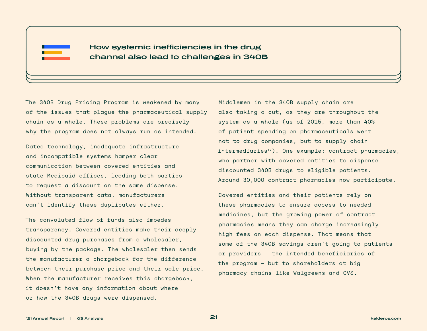

**How systemic inefficiencies in the drug channel also lead to challenges in 340B**

The 340B Drug Pricing Program is weakened by many of the issues that plague the pharmaceutical supply chain as a whole. These problems are precisely why the program does not always run as intended.

Dated technology, inadequate infrastructure and incompatible systems hamper clear communication between covered entities and state Medicaid offices, leading both parties to request a discount on the same dispense. Without transparent data, manufacturers can't identify these duplicates either.

The convoluted flow of funds also impedes transparency. Covered entities make their deeply discounted drug purchases from a wholesaler, buying by the package. The wholesaler then sends the manufacturer a chargeback for the difference between their purchase price and their sale price. When the manufacturer receives this chargeback, it doesn't have any information about where or how the 340B drugs were dispensed.

Middlemen in the 340B supply chain are also taking a cut, as they are throughout the system as a whole (as of 2015, more than 40% of patient spending on pharmaceuticals went not to drug companies, but to supply chain intermediaries<sup>17</sup>). One example: contract pharmacies, who partner with covered entities to dispense discounted 340B drugs to eligible patients. Around 30,000 contract pharmacies now participate.

Covered entities and their patients rely on these pharmacies to ensure access to needed medicines, but the growing power of contract pharmacies means they can charge increasingly high fees on each dispense. That means that some of the 340B savings aren't going to patients or providers — the intended beneficiaries of the program — but to shareholders at big pharmacy chains like Walgreens and CVS.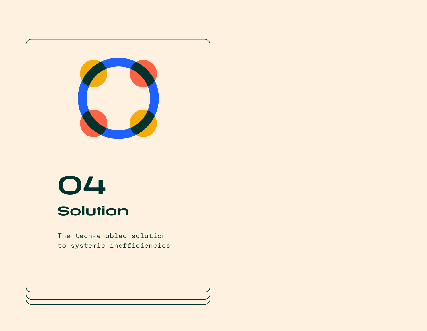<span id="page-21-0"></span>

# **04 Solution**

The tech-enabled solution to systemic inefficiencies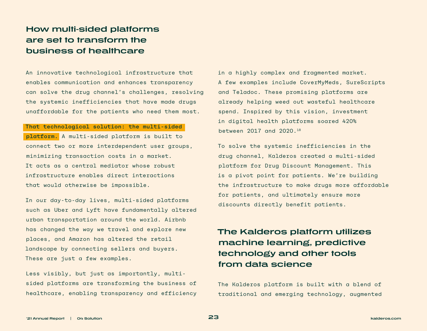## **How multi-sided platforms are set to transform the business of healthcare**

An innovative technological infrastructure that enables communication and enhances transparency can solve the drug channel's challenges, resolving the systemic inefficiencies that have made drugs unaffordable for the patients who need them most.

#### That technological solution: the multi-sided

platform. A multi-sided platform is built to connect two or more interdependent user groups, minimizing transaction costs in a market. It acts as a central mediator whose robust infrastructure enables direct interactions that would otherwise be impossible.

In our day-to-day lives, multi-sided platforms such as Uber and Lyft have fundamentally altered urban transportation around the world. Airbnb has changed the way we travel and explore new places, and Amazon has altered the retail landscape by connecting sellers and buyers. These are just a few examples.

Less visibly, but just as importantly, multisided platforms are transforming the business of healthcare, enabling transparency and efficiency in a highly complex and fragmented market. A few examples include CoverMyMeds, SureScripts and Teladoc. These promising platforms are already helping weed out wasteful healthcare spend. Inspired by this vision, investment in digital health platforms soared 420% between 2017 and 2020.18

To solve the systemic inefficiencies in the drug channel, Kalderos created a multi-sided platform for Drug Discount Management. This is a pivot point for patients. We're building the infrastructure to make drugs more affordable for patients, and ultimately ensure more discounts directly benefit patients.

# **The Kalderos platform utilizes machine learning, predictive technology and other tools from data science**

The Kalderos platform is built with a blend of traditional and emerging technology, augmented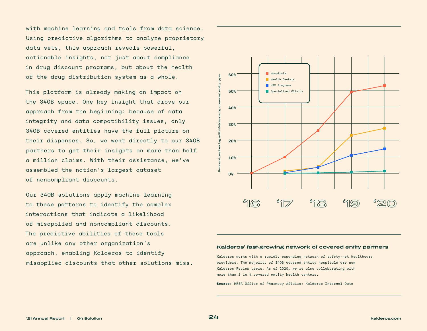with machine learning and tools from data science. Using predictive algorithms to analyze proprietary data sets, this approach reveals powerful, actionable insights, not just about compliance in drug discount programs, but about the health of the drug distribution system as a whole.

This platform is already making an impact on the 340B space. One key insight that drove our approach from the beginning: because of data integrity and data compatibility issues, only 340B covered entities have the full picture on their dispenses. So, we went directly to our 340B partners to get their insights on more than half a million claims. With their assistance, we've assembled the nation's largest dataset of noncompliant discounts.

Our 340B solutions apply machine learning to these patterns to identify the complex interactions that indicate a likelihood of misapplied and noncompliant discounts. The predictive abilities of these tools are unlike any other organization's approach, enabling Kalderos to identify misapplied discounts that other solutions miss.



#### **Kalderos' fast-growing network of covered entity partners**

Kalderos works with a rapidly expanding network of safety-net healthcare providers. The majority of 340B covered entity hospitals are now Kalderos Review users. As of 2020, we're also collaborating with more than 1 in 4 covered entity health centers.

**Source:** HRSA Office of Pharmacy Affairs; Kalderos Internal Data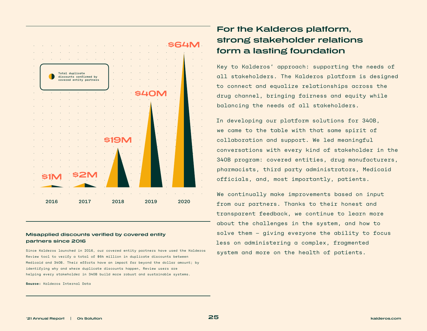

#### **Misapplied discounts verified by covered entity partners since 2016**

Since Kalderos launched in 2016, our covered entity partners have used the Kalderos Review tool to verify a total of \$64 million in duplicate discounts between Medicaid and 340B. Their efforts have an impact far beyond the dollar amount; by identifying why and where duplicate discounts happen, Review users are helping every stakeholder in 340B build more robust and sustainable systems.

**Source:** Kalderos Internal Data

# **For the Kalderos platform, strong stakeholder relations form a lasting foundation**

Key to Kalderos' approach: supporting the needs of all stakeholders. The Kalderos platform is designed to connect and equalize relationships across the drug channel, bringing fairness and equity while balancing the needs of all stakeholders.

In developing our platform solutions for 340B, we came to the table with that same spirit of collaboration and support. We led meaningful conversations with every kind of stakeholder in the 340B program: covered entities, drug manufacturers, pharmacists, third party administrators, Medicaid officials, and, most importantly, patients.

We continually make improvements based on input from our partners. Thanks to their honest and transparent feedback, we continue to learn more about the challenges in the system, and how to solve them — giving everyone the ability to focus less on administering a complex, fragmented system and more on the health of patients.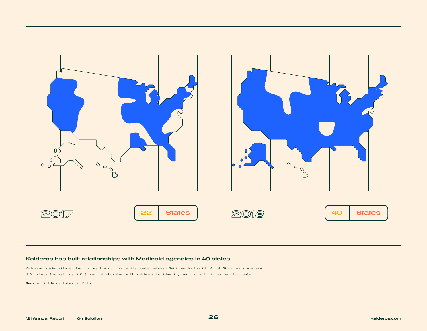

#### **Kalderos has built relationships with Medicaid agencies in 49 states**

Kalderos works with states to resolve duplicate discounts between 340B and Medicaid. As of 2020, nearly every U.S. state (as well as D.C.) has collaborated with Kalderos to identify and correct misapplied discounts.

**Source:** Kalderos Internal Data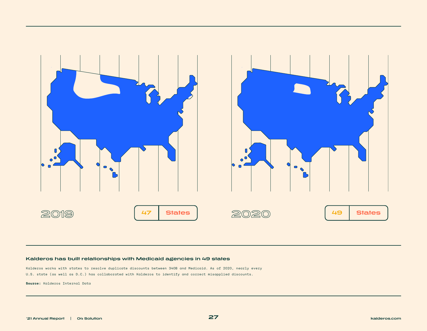

#### **Kalderos has built relationships with Medicaid agencies in 49 states**

Kalderos works with states to resolve duplicate discounts between 340B and Medicaid. As of 2020, nearly every U.S. state (as well as D.C.) has collaborated with Kalderos to identify and correct misapplied discounts.

**Source:** Kalderos Internal Data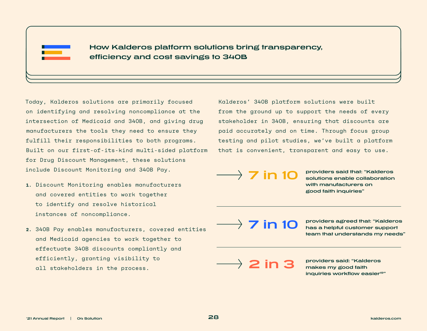

**How Kalderos platform solutions bring transparency, efficiency and cost savings to 340B**

Today, Kalderos solutions are primarily focused on identifying and resolving noncompliance at the intersection of Medicaid and 340B, and giving drug manufacturers the tools they need to ensure they fulfill their responsibilities to both programs. Built on our first-of-its-kind multi-sided platform for Drug Discount Management, these solutions include Discount Monitoring and 340B Pay.

- **1.** Discount Monitoring enables manufacturers and covered entities to work together to identify and resolve historical instances of noncompliance.
- **2.** 340B Pay enables manufacturers, covered entities and Medicaid agencies to work together to effectuate 340B discounts compliantly and efficiently, granting visibility to all stakeholders in the process.

Kalderos' 340B platform solutions were built from the ground up to support the needs of every stakeholder in 340B, ensuring that discounts are paid accurately and on time. Through focus group testing and pilot studies, we've built a platform that is convenient, transparent and easy to use.

**7 in 10 providers said that: "Kalderos solutions enable collaboration with manufacturers on good faith inquiries"**

**7 in 10 providers agreed that: "Kalderos has a helpful customer support team that understands my needs"**

**2 in 3 providers said: "Kalderos makes my good faith inquiries workflow easier19"**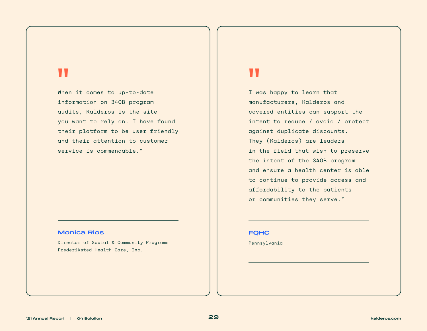# **||**<br>Whe

When it comes to up-to-date information on 340B program audits, Kalderos is the site you want to rely on. I have found their platform to be user friendly and their attention to customer service is commendable."

#### **Monica Rios**

Director of Social & Community Programs Frederiksted Health Care, Inc.

**"** I was happy to learn that manufacturers, Kalderos and covered entities can support the intent to reduce / avoid / protect against duplicate discounts. They (Kalderos) are leaders in the field that wish to preserve the intent of the 340B program and ensure a health center is able to continue to provide access and affordability to the patients or communities they serve."

#### **FQHC**

Pennsylvania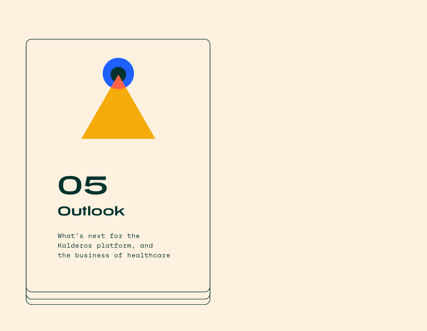<span id="page-29-0"></span>

# **05 Outlook**

What's next for the Kalderos platform, and the business of healthcare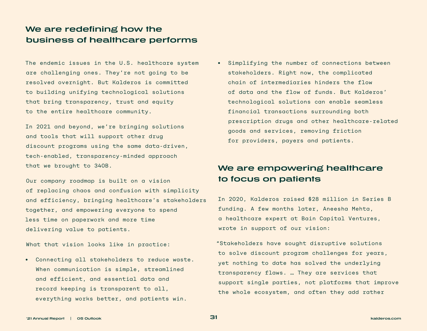### **We are redefining how the business of healthcare performs**

The endemic issues in the U.S. healthcare system are challenging ones. They're not going to be resolved overnight. But Kalderos is committed to building unifying technological solutions that bring transparency, trust and equity to the entire healthcare community.

In 2021 and beyond, we're bringing solutions and tools that will support other drug discount programs using the same data-driven, tech-enabled, transparency-minded approach that we brought to 340B.

Our company roadmap is built on a vision of replacing chaos and confusion with simplicity and efficiency, bringing healthcare's stakeholders together, and empowering everyone to spend less time on paperwork and more time delivering value to patients.

What that vision looks like in practice:

**•** Connecting all stakeholders to reduce waste. When communication is simple, streamlined and efficient, and essential data and record keeping is transparent to all, everything works better, and patients win.

**•** Simplifying the number of connections between stakeholders. Right now, the complicated chain of intermediaries hinders the flow of data and the flow of funds. But Kalderos' technological solutions can enable seamless financial transactions surrounding both prescription drugs and other healthcare-related goods and services, removing friction for providers, payers and patients.

## **We are empowering healthcare to focus on patients**

In 2020, Kalderos raised \$28 million in Series B funding. A few months later, Aneesha Mehta, a healthcare expert at Bain Capital Ventures, wrote in support of our vision:

"Stakeholders have sought disruptive solutions to solve discount program challenges for years, yet nothing to date has solved the underlying transparency flaws. … They are services that support single parties, not platforms that improve the whole ecosystem, and often they add rather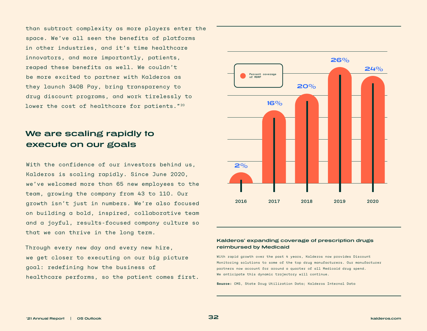than subtract complexity as more players enter the space. We've all seen the benefits of platforms in other industries, and it's time healthcare innovators, and more importantly, patients, reaped these benefits as well. We couldn't be more excited to partner with Kalderos as they launch 340B Pay, bring transparency to drug discount programs, and work tirelessly to lower the cost of healthcare for patients."<sup>20</sup>

## **We are scaling rapidly to execute on our goals**

With the confidence of our investors behind us, Kalderos is scaling rapidly. Since June 2020, we've welcomed more than 65 new employees to the team, growing the company from 43 to 110. Our growth isn't just in numbers. We're also focused on building a bold, inspired, collaborative team and a joyful, results-focused company culture so that we can thrive in the long term.

Through every new day and every new hire, we get closer to executing on our big picture goal: redefining how the business of healthcare performs, so the patient comes first.



#### **Kalderos' expanding coverage of prescription drugs reimbursed by Medicaid**

With rapid growth over the past 4 years, Kalderos now provides Discount Monitoring solutions to some of the top drug manufacturers. Our manufacturer partners now account for around a quarter of all Medicaid drug spend. We anticipate this dynamic trajectory will continue.

**Source:** CMS, State Drug Utilization Data; Kalderos Internal Data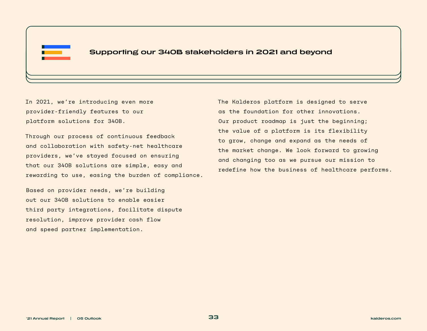

In 2021, we're introducing even more provider-friendly features to our platform solutions for 340B.

Through our process of continuous feedback and collaboration with safety-net healthcare providers, we've stayed focused on ensuring that our 340B solutions are simple, easy and rewarding to use, easing the burden of compliance.

Based on provider needs, we're building out our 340B solutions to enable easier third party integrations, facilitate dispute resolution, improve provider cash flow and speed partner implementation.

The Kalderos platform is designed to serve as the foundation for other innovations. Our product roadmap is just the beginning; the value of a platform is its flexibility to grow, change and expand as the needs of the market change. We look forward to growing and changing too as we pursue our mission to redefine how the business of healthcare performs.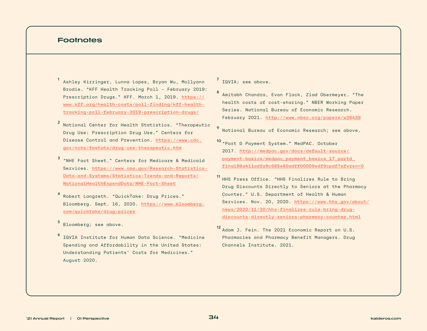#### **Footnotes**

1 Ashley Kirzinger, Lunna Lopes, Bryan Wu, Mollyann Brodie. "KFF Health Tracking Poll – February 2019: Prescription Drugs." KFF. March 1, 2019. [https://](https://www.kff.org/health-costs/poll-finding/kff-health-tracking-poll-february-2019-prescription-drugs/) [www.kff.org/health-costs/poll-finding/kff-health](https://www.kff.org/health-costs/poll-finding/kff-health-tracking-poll-february-2019-prescription-drugs/)[tracking-poll-february-2019-prescription-drugs/](https://www.kff.org/health-costs/poll-finding/kff-health-tracking-poll-february-2019-prescription-drugs/)

- 2 National Center for Health Statistics. "Therapeutic Drug Use: Prescription Drug Use." Centers for Disease Control and Prevention. [https://www.cdc.](https://www.cdc.gov/nchs/fastats/drug-use-therapeutic.htm) [gov/nchs/fastats/drug-use-therapeutic.htm](https://www.cdc.gov/nchs/fastats/drug-use-therapeutic.htm)
- 3 "NHE Fact Sheet." Centers for Medicare & Medicaid Services. [https://www.cms.gov/Research-Statistics-](https://www.cms.gov/Research-Statistics-Data-and-Systems/Statistics-Trends-and-Reports/NationalHealthExpendData/NHE-Fact-Sheet)[Data-and-Systems/Statistics-Trends-and-Reports/](https://www.cms.gov/Research-Statistics-Data-and-Systems/Statistics-Trends-and-Reports/NationalHealthExpendData/NHE-Fact-Sheet) [NationalHealthExpendData/NHE-Fact-Sheet](https://www.cms.gov/Research-Statistics-Data-and-Systems/Statistics-Trends-and-Reports/NationalHealthExpendData/NHE-Fact-Sheet)
- 4 Robert Langreth. "QuickTake: Drug Prices." Bloomberg. Sept. 16, 2020. [https://www.bloomberg.](https://www.bloomberg.com/quicktake/drug-prices) [com/quicktake/drug-prices](https://www.bloomberg.com/quicktake/drug-prices)
- 5 Bloomberg; see above.
- 6 IQVIA Institute for Human Data Science. "Medicine Spending and Affordability in the United States: Understanding Patients' Costs for Medicines." August 2020.

7 IQVIA; see above.

8 Amitabh Chandra, Evan Flack, Ziad Obermeyer. "The health costs of cost-sharing." NBER Working Paper Series. National Bureau of Economic Research. February 2021. <http://www.nber.org/papers/w28439>

National Bureau of Economic Research: see above.

- 10 "Part D Payment System." MedPAC. October 2017. [http://medpac.gov/docs/default-source/](http://medpac.gov/docs/default-source/payment-basics/medpac_payment_basics_17_partd_final86a411adfa9c665e80adff00009edf9cpdf?sfvrsn=0) [payment-basics/medpac\\_payment\\_basics\\_17\\_partd\\_](http://medpac.gov/docs/default-source/payment-basics/medpac_payment_basics_17_partd_final86a411adfa9c665e80adff00009edf9cpdf?sfvrsn=0) [final86a411adfa9c665e80adff00009edf9cpdf?sfvrsn=0](http://medpac.gov/docs/default-source/payment-basics/medpac_payment_basics_17_partd_final86a411adfa9c665e80adff00009edf9cpdf?sfvrsn=0)
- 11 HHS Press Office. "HHS Finalizes Rule to Bring Drug Discounts Directly to Seniors at the Pharmacy Counter." U.S. Department of Health & Human Services. Nov. 20, 2020. [https://www.hhs.gov/about/](https://www.hhs.gov/about/news/2020/11/20/hhs-finalizes-rule-bring-drug-discounts-directly-seniors-pharmacy-counter.html) [news/2020/11/20/hhs-finalizes-rule-bring-drug](https://www.hhs.gov/about/news/2020/11/20/hhs-finalizes-rule-bring-drug-discounts-directly-seniors-pharmacy-counter.html)[discounts-directly-seniors-pharmacy-counter.html](https://www.hhs.gov/about/news/2020/11/20/hhs-finalizes-rule-bring-drug-discounts-directly-seniors-pharmacy-counter.html)
- 12 Adam J. Fein. The 2021 Economic Report on U.S. Pharmacies and Pharmacy Benefit Managers. Drug Channels Institute. 2021.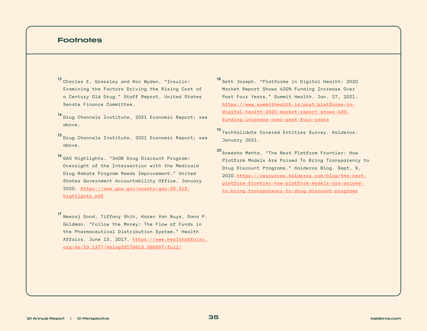#### **Footnotes**

- 13 Charles E. Grassley and Ron Wyden. "Insulin: Examining the Factors Driving the Rising Cost of a Century Old Drug." Staff Report. United States Senate Finance Committee.
- 14 Drug Channels Institute, 2021 Economic Report; see above.
- 15 Drug Channels Institute, 2021 Economic Report; see above.
- 16 GAO Highlights. "340B Drug Discount Program: Oversight of the Intersection with the Medicaid Drug Rebate Program Needs Improvement." United States Government Accountability Office. January 2020. [https://www.gao.gov/assets/gao-20-212](https://www.gao.gov/assets/gao-20-212-highlights.pdf) [highlights.pdf](https://www.gao.gov/assets/gao-20-212-highlights.pdf)
- 17 Neeraj Sood, Tiffany Shih, Karen Van Nuys, Dana P. Goldman. "Follow the Money: The Flow of Funds in the Pharmaceutical Distribution System." Health Affairs. June 13, 2017. [https://www.healthaffairs.](https://www.healthaffairs.org/do/10.1377/hblog20170613.060557/full/) [org/do/10.1377/hblog20170613.060557/full/](https://www.healthaffairs.org/do/10.1377/hblog20170613.060557/full/)
- 18 Seth Joseph. "Platforms in Digital Health: 2020 Market Report Shows 420% Funding Increase Over Past Four Years." Summit Health. Jan. 27, 2021. [https://www.summithealth.io/post/platforms-in](https://www.summithealth.io/post/platforms-in-digital-health-2020-market-report-shows-420-funding-increase-over-past-four-years)[digital-health-2020-market-report-shows-420](https://www.summithealth.io/post/platforms-in-digital-health-2020-market-report-shows-420-funding-increase-over-past-four-years) [funding-increase-over-past-four-years](https://www.summithealth.io/post/platforms-in-digital-health-2020-market-report-shows-420-funding-increase-over-past-four-years)
- 19 TechValidate Covered Entities Survey. Kalderos. January 2021.
- 20Aneesha Mehta. "The Next Platform Frontier: How Platform Models Are Poised To Bring Transparency to Drug Discount Programs." Kalderos Blog. Sept. 9, 2020.[https://resources.kalderos.com/blog/the-next](https://resources.kalderos.com/blog/the-next-platform-frontier-how-platform-models-are-poised-to-bring-transparency-to-drug-discount-programs?utm_campaign=Annual-Report-Q2-2021&utm_source=Content&utm_medium=content&utm_content=2021-annual-report-launch)[platform-frontier-how-platform-models-are-poised](https://resources.kalderos.com/blog/the-next-platform-frontier-how-platform-models-are-poised-to-bring-transparency-to-drug-discount-programs?utm_campaign=Annual-Report-Q2-2021&utm_source=Content&utm_medium=content&utm_content=2021-annual-report-launch)[to-bring-transparency-to-drug-discount-programs](https://resources.kalderos.com/blog/the-next-platform-frontier-how-platform-models-are-poised-to-bring-transparency-to-drug-discount-programs?utm_campaign=Annual-Report-Q2-2021&utm_source=Content&utm_medium=content&utm_content=2021-annual-report-launch)